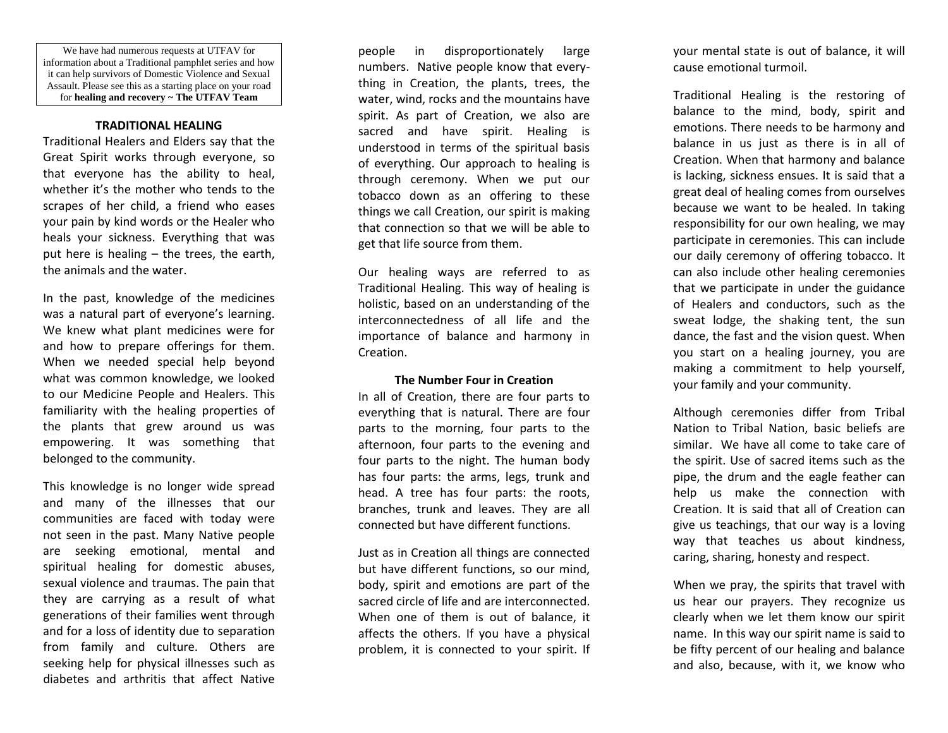We have had numerous requests at UTFAV for information about a Traditional pamphlet series and how it can help survivors of Domestic Violence and Sexual Assault. Please see this as a starting place on your road for **healing and recovery ~ The UTFAV Team**

#### **TRADITIONAL HEALING**

Traditional Healers and Elders say that the Great Spirit works through everyone, so that everyone has the ability to heal, whether it's the mother who tends to the scrapes of her child, a friend who eases your pain by kind words or the Healer who heals your sickness. Everything that was put here is healing – the trees, the earth, the animals and the water.

In the past, knowledge of the medicines was a natural part of everyone's learning. We knew what plant medicines were for and how to prepare offerings for them. When we needed special help beyond what was common knowledge, we looked to our Medicine People and Healers. This familiarity with the healing properties of the plants that grew around us was empowering. It was something that belonged to the community.

This knowledge is no longer wide spread and many of the illnesses that our communities are faced with today were not seen in the past. Many Native people are seeking emotional, mental and spiritual healing for domestic abuses, sexual violence and traumas. The pain that they are carrying as a result of what generations of their families went through and for a loss of identity due to separation from family and culture. Others are seeking help for physical illnesses such as diabetes and arthritis that affect Native

people in disproportionately large numbers. Native people know that everything in Creation, the plants, trees, the water, wind, rocks and the mountains have spirit. As part of Creation, we also are sacred and have spirit. Healing is understood in terms of the spiritual basis of everything. Our approach to healing is through ceremony. When we put our tobacco down as an offering to these things we call Creation, our spirit is making that connection so that we will be able to get that life source from them.

Our healing ways are referred to as Traditional Healing. This way of healing is holistic, based on an understanding of the interconnectedness of all life and the importance of balance and harmony in Creation.

#### **The Number Four in Creation**

In all of Creation, there are four parts to everything that is natural. There are four parts to the morning, four parts to the afternoon, four parts to the evening and four parts to the night. The human body has four parts: the arms, legs, trunk and head. A tree has four parts: the roots, branches, trunk and leaves. They are all connected but have different functions.

Just as in Creation all things are connected but have different functions, so our mind, body, spirit and emotions are part of the sacred circle of life and are interconnected. When one of them is out of balance, it affects the others. If you have a physical problem, it is connected to your spirit. If your mental state is out of balance, it will cause emotional turmoil.

Traditional Healing is the restoring of balance to the mind, body, spirit and emotions. There needs to be harmony and balance in us just as there is in all of Creation. When that harmony and balance is lacking, sickness ensues. It is said that a great deal of healing comes from ourselves because we want to be healed. In taking responsibility for our own healing, we may participate in ceremonies. This can include our daily ceremony of offering tobacco. It can also include other healing ceremonies that we participate in under the guidance of Healers and conductors, such as the sweat lodge, the shaking tent, the sun dance, the fast and the vision quest. When you start on a healing journey, you are making a commitment to help yourself, your family and your community.

Although ceremonies differ from Tribal Nation to Tribal Nation, basic beliefs are similar. We have all come to take care of the spirit. Use of sacred items such as the pipe, the drum and the eagle feather can help us make the connection with Creation. It is said that all of Creation can give us teachings, that our way is a loving way that teaches us about kindness, caring, sharing, honesty and respect.

When we pray, the spirits that travel with us hear our prayers. They recognize us clearly when we let them know our spirit name. In this way our spirit name is said to be fifty percent of our healing and balance and also, because, with it, we know who